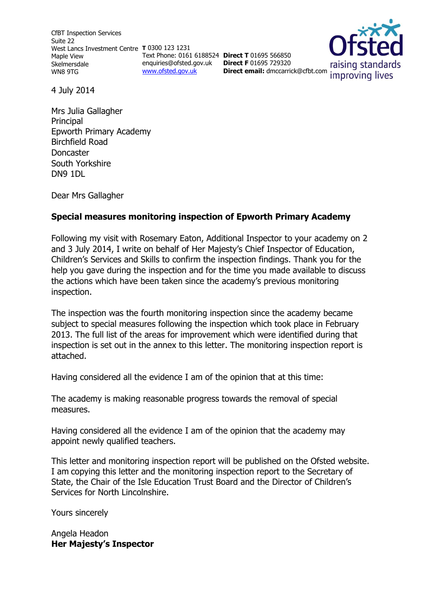CfBT Inspection Services Suite 22 West Lancs Investment Centre **T** 0300 123 1231 Maple View Skelmersdale WN8 9TG

Text Phone: 0161 6188524 **Direct T** 01695 566850 enquiries@ofsted.gov.uk [www.ofsted.gov.uk](http://www.ofsted.gov.uk/)

**Direct F** 01695 729320

raising standards **Direct email:** [dmccarrick@cfbt.com](../../Downloads/dmccarrick@cfbt.com)improving lives

4 July 2014

Mrs Julia Gallagher **Principal** Epworth Primary Academy Birchfield Road Doncaster South Yorkshire DN9 1DL

Dear Mrs Gallagher

# **Special measures monitoring inspection of Epworth Primary Academy**

Following my visit with Rosemary Eaton, Additional Inspector to your academy on 2 and 3 July 2014, I write on behalf of Her Majesty's Chief Inspector of Education, Children's Services and Skills to confirm the inspection findings. Thank you for the help you gave during the inspection and for the time you made available to discuss the actions which have been taken since the academy's previous monitoring inspection.

The inspection was the fourth monitoring inspection since the academy became subject to special measures following the inspection which took place in February 2013. The full list of the areas for improvement which were identified during that inspection is set out in the annex to this letter. The monitoring inspection report is attached.

Having considered all the evidence I am of the opinion that at this time:

The academy is making reasonable progress towards the removal of special measures.

Having considered all the evidence I am of the opinion that the academy may appoint newly qualified teachers.

This letter and monitoring inspection report will be published on the Ofsted website. I am copying this letter and the monitoring inspection report to the Secretary of State, the Chair of the Isle Education Trust Board and the Director of Children's Services for North Lincolnshire.

Yours sincerely

Angela Headon **Her Majesty's Inspector**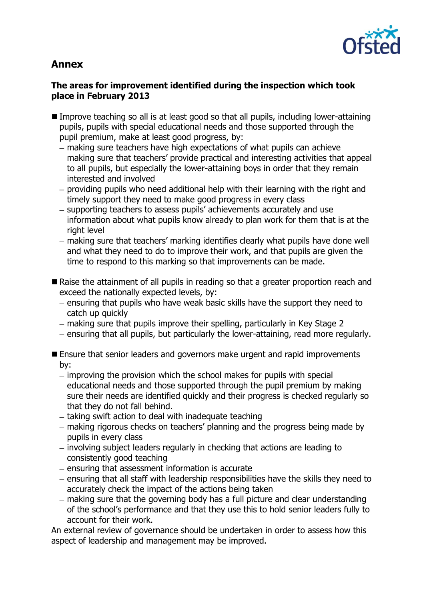

# **Annex**

# **The areas for improvement identified during the inspection which took place in February 2013**

- Improve teaching so all is at least good so that all pupils, including lower-attaining pupils, pupils with special educational needs and those supported through the pupil premium, make at least good progress, by:
	- making sure teachers have high expectations of what pupils can achieve
	- making sure that teachers' provide practical and interesting activities that appeal to all pupils, but especially the lower-attaining boys in order that they remain interested and involved
	- providing pupils who need additional help with their learning with the right and timely support they need to make good progress in every class
	- supporting teachers to assess pupils' achievements accurately and use information about what pupils know already to plan work for them that is at the right level
	- making sure that teachers' marking identifies clearly what pupils have done well and what they need to do to improve their work, and that pupils are given the time to respond to this marking so that improvements can be made.
- Raise the attainment of all pupils in reading so that a greater proportion reach and exceed the nationally expected levels, by:
	- ensuring that pupils who have weak basic skills have the support they need to catch up quickly
	- making sure that pupils improve their spelling, particularly in Key Stage 2
	- ensuring that all pupils, but particularly the lower-attaining, read more regularly.
- **E** Ensure that senior leaders and governors make urgent and rapid improvements by:
	- $-$  improving the provision which the school makes for pupils with special educational needs and those supported through the pupil premium by making sure their needs are identified quickly and their progress is checked regularly so that they do not fall behind.
	- $-$  taking swift action to deal with inadequate teaching
	- making rigorous checks on teachers' planning and the progress being made by pupils in every class
	- involving subject leaders regularly in checking that actions are leading to consistently good teaching
	- $-$  ensuring that assessment information is accurate
	- ensuring that all staff with leadership responsibilities have the skills they need to accurately check the impact of the actions being taken
	- making sure that the governing body has a full picture and clear understanding of the school's performance and that they use this to hold senior leaders fully to account for their work.

An external review of governance should be undertaken in order to assess how this aspect of leadership and management may be improved.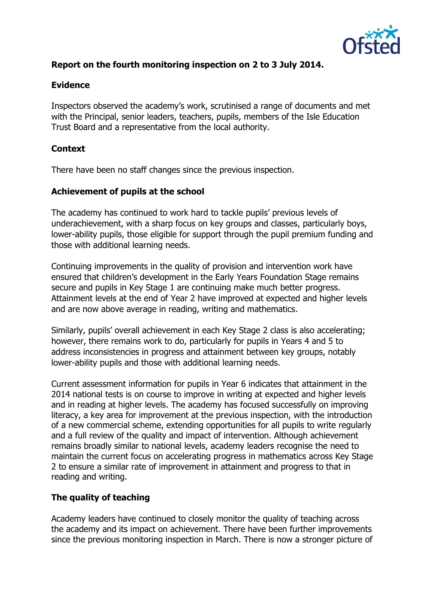

# **Report on the fourth monitoring inspection on 2 to 3 July 2014.**

#### **Evidence**

Inspectors observed the academy's work, scrutinised a range of documents and met with the Principal, senior leaders, teachers, pupils, members of the Isle Education Trust Board and a representative from the local authority.

# **Context**

There have been no staff changes since the previous inspection.

#### **Achievement of pupils at the school**

The academy has continued to work hard to tackle pupils' previous levels of underachievement, with a sharp focus on key groups and classes, particularly boys, lower-ability pupils, those eligible for support through the pupil premium funding and those with additional learning needs.

Continuing improvements in the quality of provision and intervention work have ensured that children's development in the Early Years Foundation Stage remains secure and pupils in Key Stage 1 are continuing make much better progress. Attainment levels at the end of Year 2 have improved at expected and higher levels and are now above average in reading, writing and mathematics.

Similarly, pupils' overall achievement in each Key Stage 2 class is also accelerating; however, there remains work to do, particularly for pupils in Years 4 and 5 to address inconsistencies in progress and attainment between key groups, notably lower-ability pupils and those with additional learning needs.

Current assessment information for pupils in Year 6 indicates that attainment in the 2014 national tests is on course to improve in writing at expected and higher levels and in reading at higher levels. The academy has focused successfully on improving literacy, a key area for improvement at the previous inspection, with the introduction of a new commercial scheme, extending opportunities for all pupils to write regularly and a full review of the quality and impact of intervention. Although achievement remains broadly similar to national levels, academy leaders recognise the need to maintain the current focus on accelerating progress in mathematics across Key Stage 2 to ensure a similar rate of improvement in attainment and progress to that in reading and writing.

# **The quality of teaching**

Academy leaders have continued to closely monitor the quality of teaching across the academy and its impact on achievement. There have been further improvements since the previous monitoring inspection in March. There is now a stronger picture of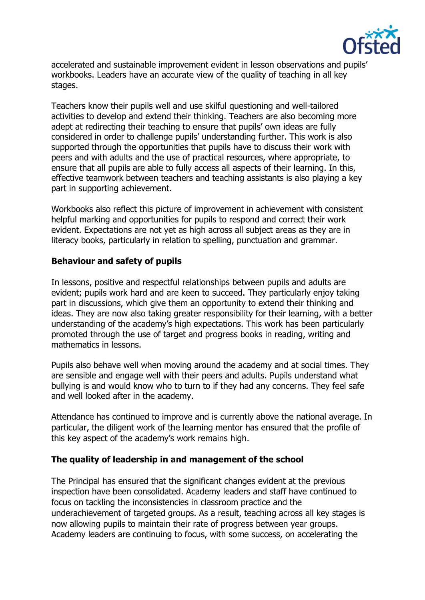

accelerated and sustainable improvement evident in lesson observations and pupils' workbooks. Leaders have an accurate view of the quality of teaching in all key stages.

Teachers know their pupils well and use skilful questioning and well-tailored activities to develop and extend their thinking. Teachers are also becoming more adept at redirecting their teaching to ensure that pupils' own ideas are fully considered in order to challenge pupils' understanding further. This work is also supported through the opportunities that pupils have to discuss their work with peers and with adults and the use of practical resources, where appropriate, to ensure that all pupils are able to fully access all aspects of their learning. In this, effective teamwork between teachers and teaching assistants is also playing a key part in supporting achievement.

Workbooks also reflect this picture of improvement in achievement with consistent helpful marking and opportunities for pupils to respond and correct their work evident. Expectations are not yet as high across all subject areas as they are in literacy books, particularly in relation to spelling, punctuation and grammar.

# **Behaviour and safety of pupils**

In lessons, positive and respectful relationships between pupils and adults are evident; pupils work hard and are keen to succeed. They particularly enjoy taking part in discussions, which give them an opportunity to extend their thinking and ideas. They are now also taking greater responsibility for their learning, with a better understanding of the academy's high expectations. This work has been particularly promoted through the use of target and progress books in reading, writing and mathematics in lessons.

Pupils also behave well when moving around the academy and at social times. They are sensible and engage well with their peers and adults. Pupils understand what bullying is and would know who to turn to if they had any concerns. They feel safe and well looked after in the academy.

Attendance has continued to improve and is currently above the national average. In particular, the diligent work of the learning mentor has ensured that the profile of this key aspect of the academy's work remains high.

# **The quality of leadership in and management of the school**

The Principal has ensured that the significant changes evident at the previous inspection have been consolidated. Academy leaders and staff have continued to focus on tackling the inconsistencies in classroom practice and the underachievement of targeted groups. As a result, teaching across all key stages is now allowing pupils to maintain their rate of progress between year groups. Academy leaders are continuing to focus, with some success, on accelerating the